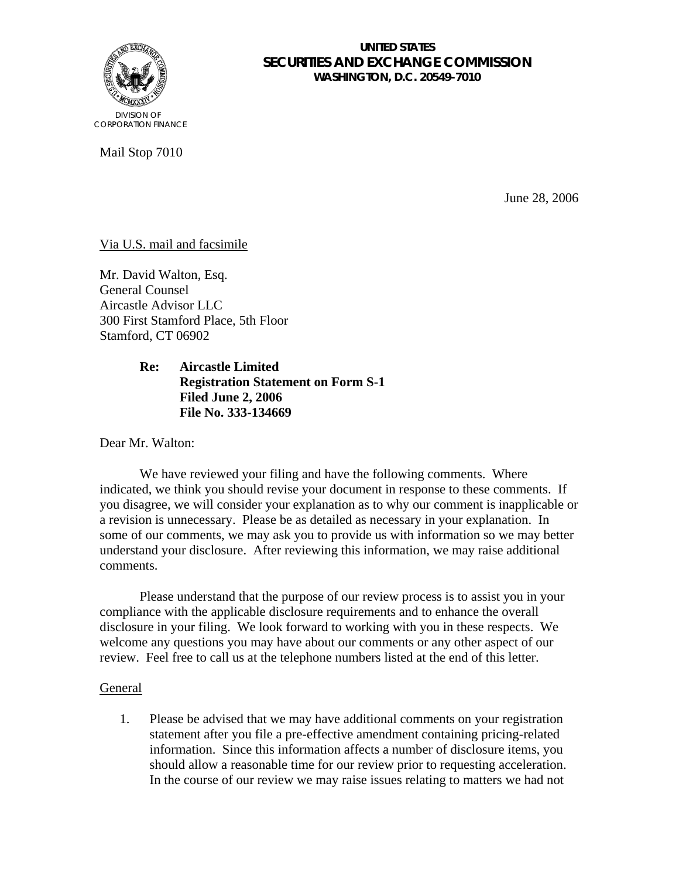

## **UNITED STATES SECURITIES AND EXCHANGE COMMISSION WASHINGTON, D.C. 20549-7010**

Mail Stop 7010

June 28, 2006

# Via U.S. mail and facsimile

Mr. David Walton, Esq. General Counsel Aircastle Advisor LLC 300 First Stamford Place, 5th Floor Stamford, CT 06902

> **Re: Aircastle Limited Registration Statement on Form S-1 Filed June 2, 2006 File No. 333-134669**

Dear Mr. Walton:

We have reviewed your filing and have the following comments. Where indicated, we think you should revise your document in response to these comments. If you disagree, we will consider your explanation as to why our comment is inapplicable or a revision is unnecessary. Please be as detailed as necessary in your explanation. In some of our comments, we may ask you to provide us with information so we may better understand your disclosure. After reviewing this information, we may raise additional comments.

Please understand that the purpose of our review process is to assist you in your compliance with the applicable disclosure requirements and to enhance the overall disclosure in your filing. We look forward to working with you in these respects. We welcome any questions you may have about our comments or any other aspect of our review. Feel free to call us at the telephone numbers listed at the end of this letter.

## General

1. Please be advised that we may have additional comments on your registration statement after you file a pre-effective amendment containing pricing-related information. Since this information affects a number of disclosure items, you should allow a reasonable time for our review prior to requesting acceleration. In the course of our review we may raise issues relating to matters we had not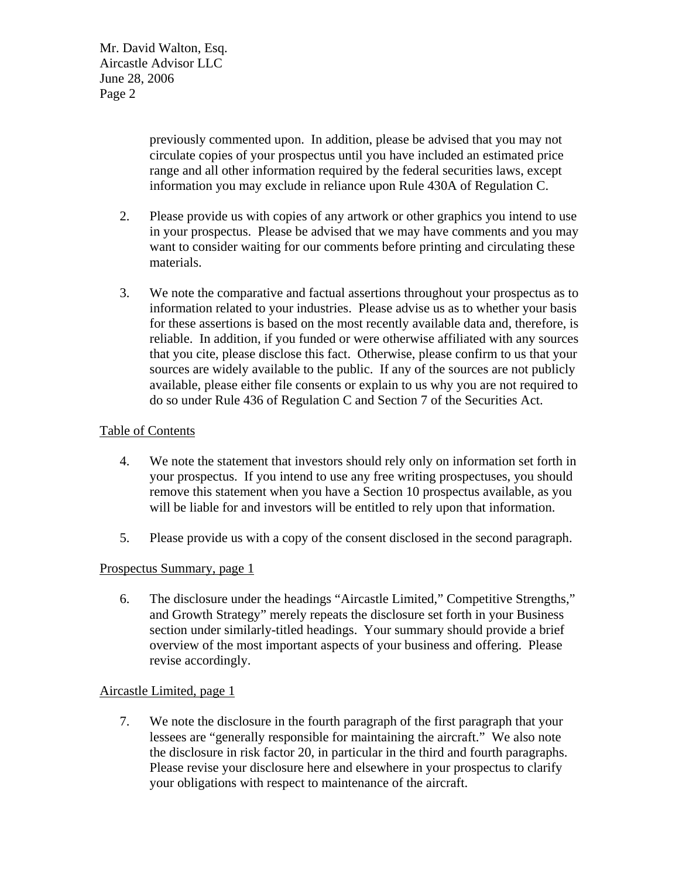> previously commented upon. In addition, please be advised that you may not circulate copies of your prospectus until you have included an estimated price range and all other information required by the federal securities laws, except information you may exclude in reliance upon Rule 430A of Regulation C.

- 2. Please provide us with copies of any artwork or other graphics you intend to use in your prospectus. Please be advised that we may have comments and you may want to consider waiting for our comments before printing and circulating these materials.
- 3. We note the comparative and factual assertions throughout your prospectus as to information related to your industries. Please advise us as to whether your basis for these assertions is based on the most recently available data and, therefore, is reliable. In addition, if you funded or were otherwise affiliated with any sources that you cite, please disclose this fact. Otherwise, please confirm to us that your sources are widely available to the public. If any of the sources are not publicly available, please either file consents or explain to us why you are not required to do so under Rule 436 of Regulation C and Section 7 of the Securities Act.

# Table of Contents

- 4. We note the statement that investors should rely only on information set forth in your prospectus. If you intend to use any free writing prospectuses, you should remove this statement when you have a Section 10 prospectus available, as you will be liable for and investors will be entitled to rely upon that information.
- 5. Please provide us with a copy of the consent disclosed in the second paragraph.

# Prospectus Summary, page 1

6. The disclosure under the headings "Aircastle Limited," Competitive Strengths," and Growth Strategy" merely repeats the disclosure set forth in your Business section under similarly-titled headings. Your summary should provide a brief overview of the most important aspects of your business and offering. Please revise accordingly.

## Aircastle Limited, page 1

7. We note the disclosure in the fourth paragraph of the first paragraph that your lessees are "generally responsible for maintaining the aircraft." We also note the disclosure in risk factor 20, in particular in the third and fourth paragraphs. Please revise your disclosure here and elsewhere in your prospectus to clarify your obligations with respect to maintenance of the aircraft.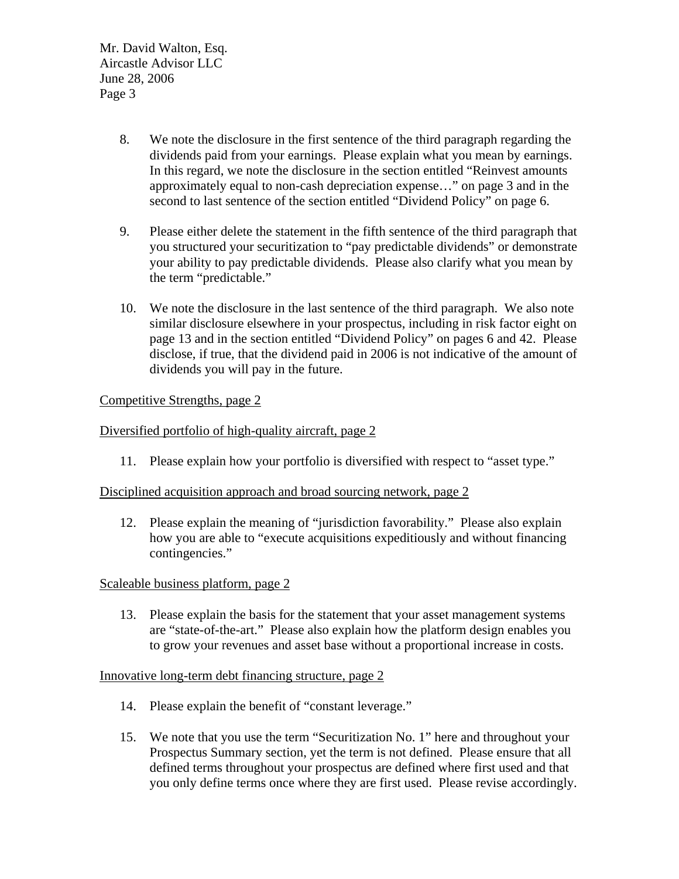- 8. We note the disclosure in the first sentence of the third paragraph regarding the dividends paid from your earnings. Please explain what you mean by earnings. In this regard, we note the disclosure in the section entitled "Reinvest amounts approximately equal to non-cash depreciation expense…" on page 3 and in the second to last sentence of the section entitled "Dividend Policy" on page 6.
- 9. Please either delete the statement in the fifth sentence of the third paragraph that you structured your securitization to "pay predictable dividends" or demonstrate your ability to pay predictable dividends. Please also clarify what you mean by the term "predictable."
- 10. We note the disclosure in the last sentence of the third paragraph. We also note similar disclosure elsewhere in your prospectus, including in risk factor eight on page 13 and in the section entitled "Dividend Policy" on pages 6 and 42. Please disclose, if true, that the dividend paid in 2006 is not indicative of the amount of dividends you will pay in the future.

# Competitive Strengths, page 2

## Diversified portfolio of high-quality aircraft, page 2

11. Please explain how your portfolio is diversified with respect to "asset type."

## Disciplined acquisition approach and broad sourcing network, page 2

12. Please explain the meaning of "jurisdiction favorability." Please also explain how you are able to "execute acquisitions expeditiously and without financing contingencies."

## Scaleable business platform, page 2

13. Please explain the basis for the statement that your asset management systems are "state-of-the-art." Please also explain how the platform design enables you to grow your revenues and asset base without a proportional increase in costs.

## Innovative long-term debt financing structure, page 2

- 14. Please explain the benefit of "constant leverage."
- 15. We note that you use the term "Securitization No. 1" here and throughout your Prospectus Summary section, yet the term is not defined. Please ensure that all defined terms throughout your prospectus are defined where first used and that you only define terms once where they are first used. Please revise accordingly.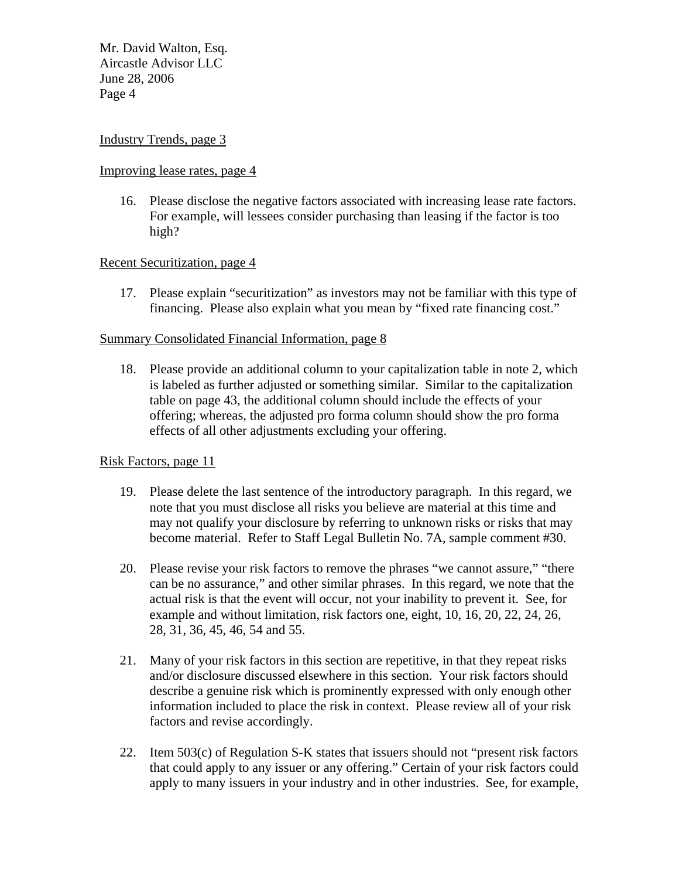### Industry Trends, page 3

#### Improving lease rates, page 4

16. Please disclose the negative factors associated with increasing lease rate factors. For example, will lessees consider purchasing than leasing if the factor is too high?

## Recent Securitization, page 4

17. Please explain "securitization" as investors may not be familiar with this type of financing. Please also explain what you mean by "fixed rate financing cost."

### Summary Consolidated Financial Information, page 8

18. Please provide an additional column to your capitalization table in note 2, which is labeled as further adjusted or something similar. Similar to the capitalization table on page 43, the additional column should include the effects of your offering; whereas, the adjusted pro forma column should show the pro forma effects of all other adjustments excluding your offering.

## Risk Factors, page 11

- 19. Please delete the last sentence of the introductory paragraph. In this regard, we note that you must disclose all risks you believe are material at this time and may not qualify your disclosure by referring to unknown risks or risks that may become material. Refer to Staff Legal Bulletin No. 7A, sample comment #30.
- 20. Please revise your risk factors to remove the phrases "we cannot assure," "there can be no assurance," and other similar phrases. In this regard, we note that the actual risk is that the event will occur, not your inability to prevent it. See, for example and without limitation, risk factors one, eight, 10, 16, 20, 22, 24, 26, 28, 31, 36, 45, 46, 54 and 55.
- 21. Many of your risk factors in this section are repetitive, in that they repeat risks and/or disclosure discussed elsewhere in this section. Your risk factors should describe a genuine risk which is prominently expressed with only enough other information included to place the risk in context. Please review all of your risk factors and revise accordingly.
- 22. Item 503(c) of Regulation S-K states that issuers should not "present risk factors that could apply to any issuer or any offering." Certain of your risk factors could apply to many issuers in your industry and in other industries. See, for example,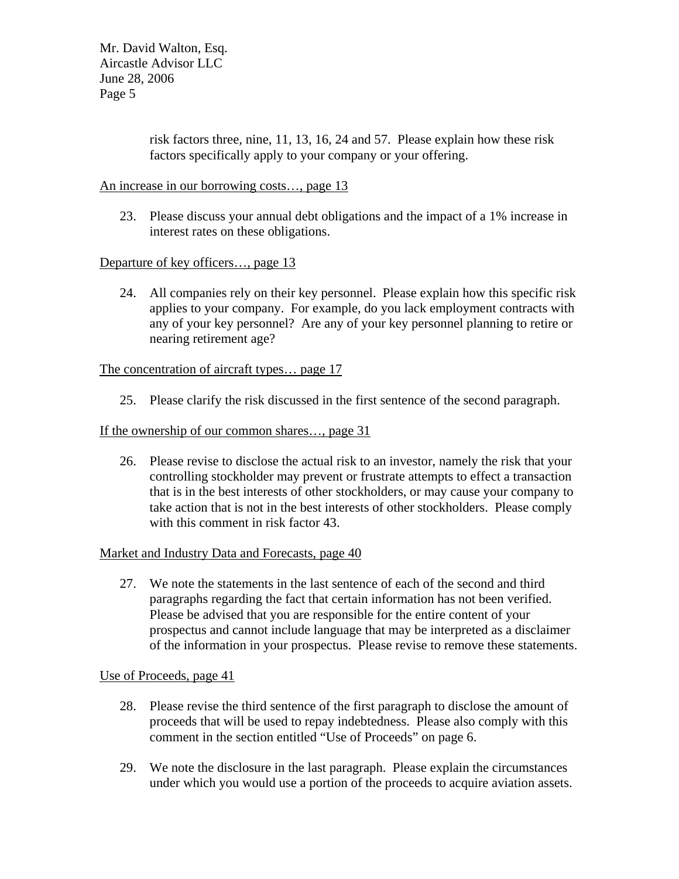> risk factors three, nine, 11, 13, 16, 24 and 57. Please explain how these risk factors specifically apply to your company or your offering.

### An increase in our borrowing costs…, page 13

23. Please discuss your annual debt obligations and the impact of a 1% increase in interest rates on these obligations.

## Departure of key officers…, page 13

24. All companies rely on their key personnel. Please explain how this specific risk applies to your company. For example, do you lack employment contracts with any of your key personnel? Are any of your key personnel planning to retire or nearing retirement age?

### The concentration of aircraft types… page 17

25. Please clarify the risk discussed in the first sentence of the second paragraph.

### If the ownership of our common shares…, page 31

26. Please revise to disclose the actual risk to an investor, namely the risk that your controlling stockholder may prevent or frustrate attempts to effect a transaction that is in the best interests of other stockholders, or may cause your company to take action that is not in the best interests of other stockholders. Please comply with this comment in risk factor 43.

### Market and Industry Data and Forecasts, page 40

27. We note the statements in the last sentence of each of the second and third paragraphs regarding the fact that certain information has not been verified. Please be advised that you are responsible for the entire content of your prospectus and cannot include language that may be interpreted as a disclaimer of the information in your prospectus. Please revise to remove these statements.

#### Use of Proceeds, page 41

- 28. Please revise the third sentence of the first paragraph to disclose the amount of proceeds that will be used to repay indebtedness. Please also comply with this comment in the section entitled "Use of Proceeds" on page 6.
- 29. We note the disclosure in the last paragraph. Please explain the circumstances under which you would use a portion of the proceeds to acquire aviation assets.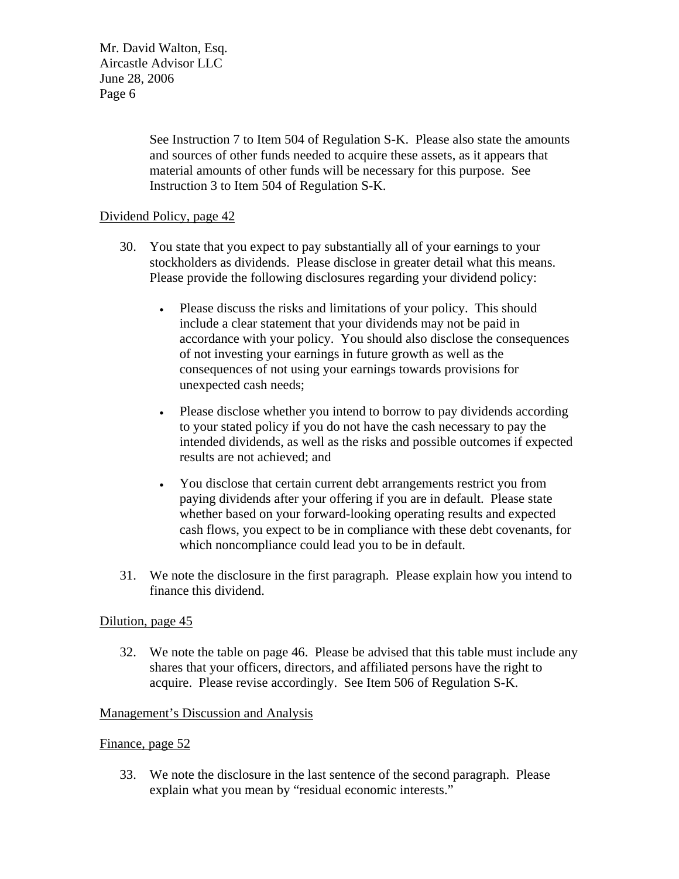> See Instruction 7 to Item 504 of Regulation S-K. Please also state the amounts and sources of other funds needed to acquire these assets, as it appears that material amounts of other funds will be necessary for this purpose. See Instruction 3 to Item 504 of Regulation S-K.

## Dividend Policy, page 42

- 30. You state that you expect to pay substantially all of your earnings to your stockholders as dividends. Please disclose in greater detail what this means. Please provide the following disclosures regarding your dividend policy:
	- Please discuss the risks and limitations of your policy. This should include a clear statement that your dividends may not be paid in accordance with your policy. You should also disclose the consequences of not investing your earnings in future growth as well as the consequences of not using your earnings towards provisions for unexpected cash needs;
	- Please disclose whether you intend to borrow to pay dividends according to your stated policy if you do not have the cash necessary to pay the intended dividends, as well as the risks and possible outcomes if expected results are not achieved; and
	- You disclose that certain current debt arrangements restrict you from paying dividends after your offering if you are in default. Please state whether based on your forward-looking operating results and expected cash flows, you expect to be in compliance with these debt covenants, for which noncompliance could lead you to be in default.
- 31. We note the disclosure in the first paragraph. Please explain how you intend to finance this dividend.

#### Dilution, page 45

32. We note the table on page 46. Please be advised that this table must include any shares that your officers, directors, and affiliated persons have the right to acquire. Please revise accordingly. See Item 506 of Regulation S-K.

#### Management's Discussion and Analysis

#### Finance, page 52

33. We note the disclosure in the last sentence of the second paragraph. Please explain what you mean by "residual economic interests."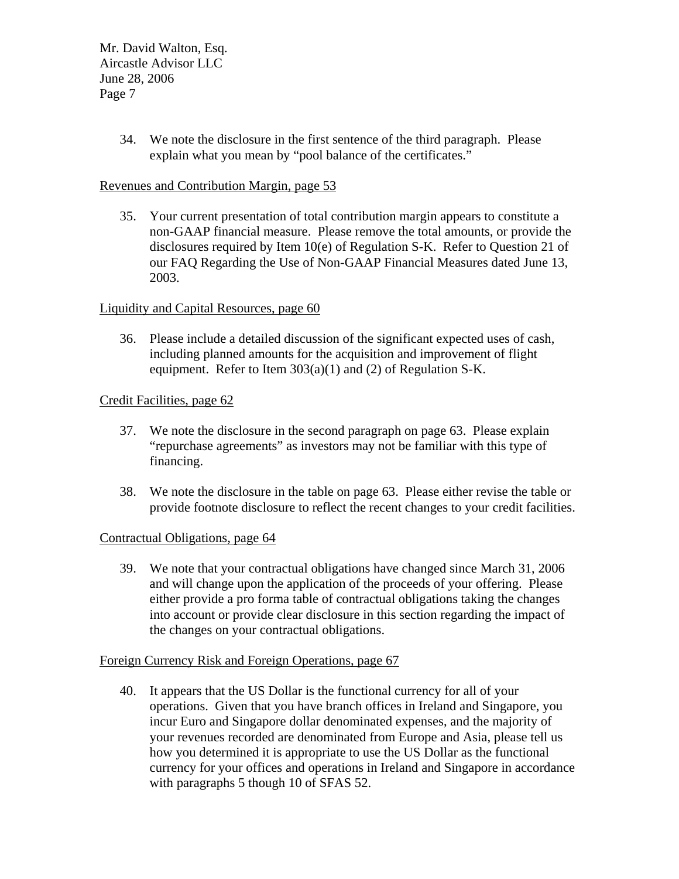> 34. We note the disclosure in the first sentence of the third paragraph. Please explain what you mean by "pool balance of the certificates."

## Revenues and Contribution Margin, page 53

35. Your current presentation of total contribution margin appears to constitute a non-GAAP financial measure. Please remove the total amounts, or provide the disclosures required by Item 10(e) of Regulation S-K. Refer to Question 21 of our FAQ Regarding the Use of Non-GAAP Financial Measures dated June 13, 2003.

### Liquidity and Capital Resources, page 60

36. Please include a detailed discussion of the significant expected uses of cash, including planned amounts for the acquisition and improvement of flight equipment. Refer to Item 303(a)(1) and (2) of Regulation S-K.

## Credit Facilities, page 62

- 37. We note the disclosure in the second paragraph on page 63. Please explain "repurchase agreements" as investors may not be familiar with this type of financing.
- 38. We note the disclosure in the table on page 63. Please either revise the table or provide footnote disclosure to reflect the recent changes to your credit facilities.

#### Contractual Obligations, page 64

39. We note that your contractual obligations have changed since March 31, 2006 and will change upon the application of the proceeds of your offering. Please either provide a pro forma table of contractual obligations taking the changes into account or provide clear disclosure in this section regarding the impact of the changes on your contractual obligations.

#### Foreign Currency Risk and Foreign Operations, page 67

40. It appears that the US Dollar is the functional currency for all of your operations. Given that you have branch offices in Ireland and Singapore, you incur Euro and Singapore dollar denominated expenses, and the majority of your revenues recorded are denominated from Europe and Asia, please tell us how you determined it is appropriate to use the US Dollar as the functional currency for your offices and operations in Ireland and Singapore in accordance with paragraphs 5 though 10 of SFAS 52.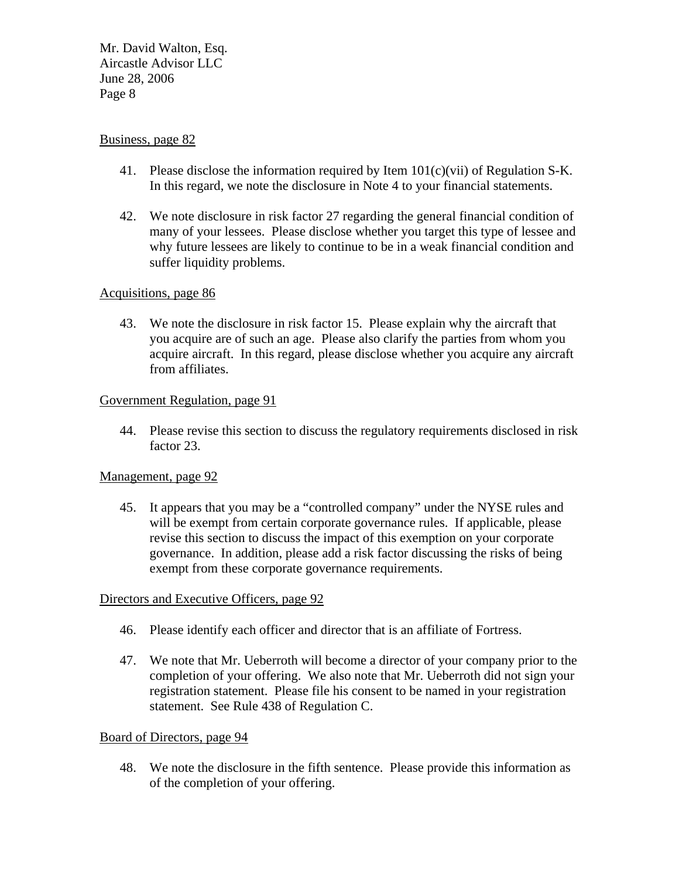### Business, page 82

- 41. Please disclose the information required by Item  $101(c)(vi)$  of Regulation S-K. In this regard, we note the disclosure in Note 4 to your financial statements.
- 42. We note disclosure in risk factor 27 regarding the general financial condition of many of your lessees. Please disclose whether you target this type of lessee and why future lessees are likely to continue to be in a weak financial condition and suffer liquidity problems.

### Acquisitions, page 86

43. We note the disclosure in risk factor 15. Please explain why the aircraft that you acquire are of such an age. Please also clarify the parties from whom you acquire aircraft. In this regard, please disclose whether you acquire any aircraft from affiliates.

### Government Regulation, page 91

44. Please revise this section to discuss the regulatory requirements disclosed in risk factor 23.

#### Management, page 92

45. It appears that you may be a "controlled company" under the NYSE rules and will be exempt from certain corporate governance rules. If applicable, please revise this section to discuss the impact of this exemption on your corporate governance. In addition, please add a risk factor discussing the risks of being exempt from these corporate governance requirements.

### Directors and Executive Officers, page 92

- 46. Please identify each officer and director that is an affiliate of Fortress.
- 47. We note that Mr. Ueberroth will become a director of your company prior to the completion of your offering. We also note that Mr. Ueberroth did not sign your registration statement. Please file his consent to be named in your registration statement. See Rule 438 of Regulation C.

#### Board of Directors, page 94

48. We note the disclosure in the fifth sentence. Please provide this information as of the completion of your offering.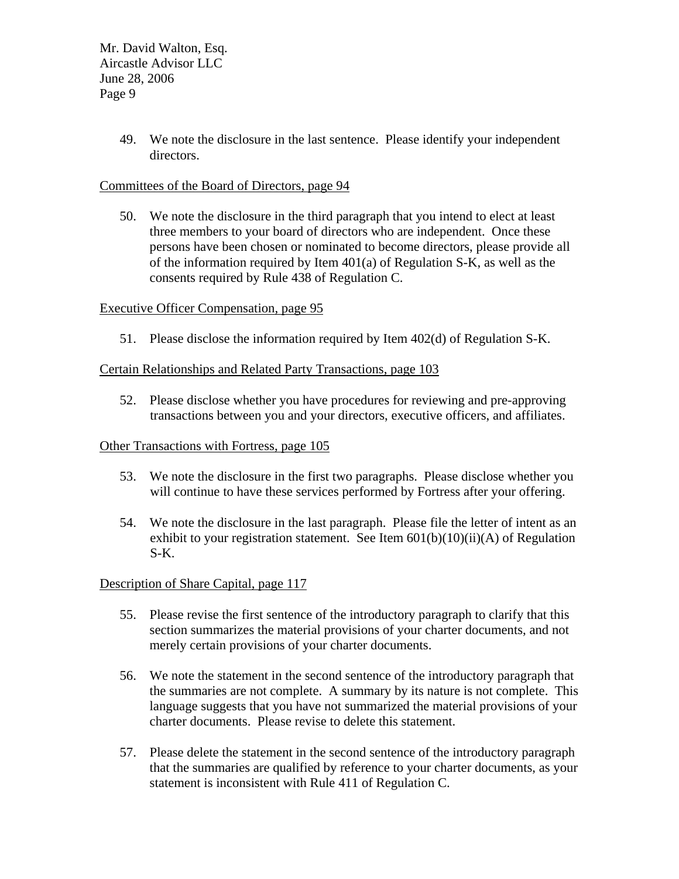> 49. We note the disclosure in the last sentence. Please identify your independent directors.

## Committees of the Board of Directors, page 94

50. We note the disclosure in the third paragraph that you intend to elect at least three members to your board of directors who are independent. Once these persons have been chosen or nominated to become directors, please provide all of the information required by Item 401(a) of Regulation S-K, as well as the consents required by Rule 438 of Regulation C.

## Executive Officer Compensation, page 95

51. Please disclose the information required by Item 402(d) of Regulation S-K.

## Certain Relationships and Related Party Transactions, page 103

52. Please disclose whether you have procedures for reviewing and pre-approving transactions between you and your directors, executive officers, and affiliates.

#### Other Transactions with Fortress, page 105

- 53. We note the disclosure in the first two paragraphs. Please disclose whether you will continue to have these services performed by Fortress after your offering.
- 54. We note the disclosure in the last paragraph. Please file the letter of intent as an exhibit to your registration statement. See Item 601(b)(10)(ii)(A) of Regulation S-K.

## Description of Share Capital, page 117

- 55. Please revise the first sentence of the introductory paragraph to clarify that this section summarizes the material provisions of your charter documents, and not merely certain provisions of your charter documents.
- 56. We note the statement in the second sentence of the introductory paragraph that the summaries are not complete. A summary by its nature is not complete. This language suggests that you have not summarized the material provisions of your charter documents. Please revise to delete this statement.
- 57. Please delete the statement in the second sentence of the introductory paragraph that the summaries are qualified by reference to your charter documents, as your statement is inconsistent with Rule 411 of Regulation C.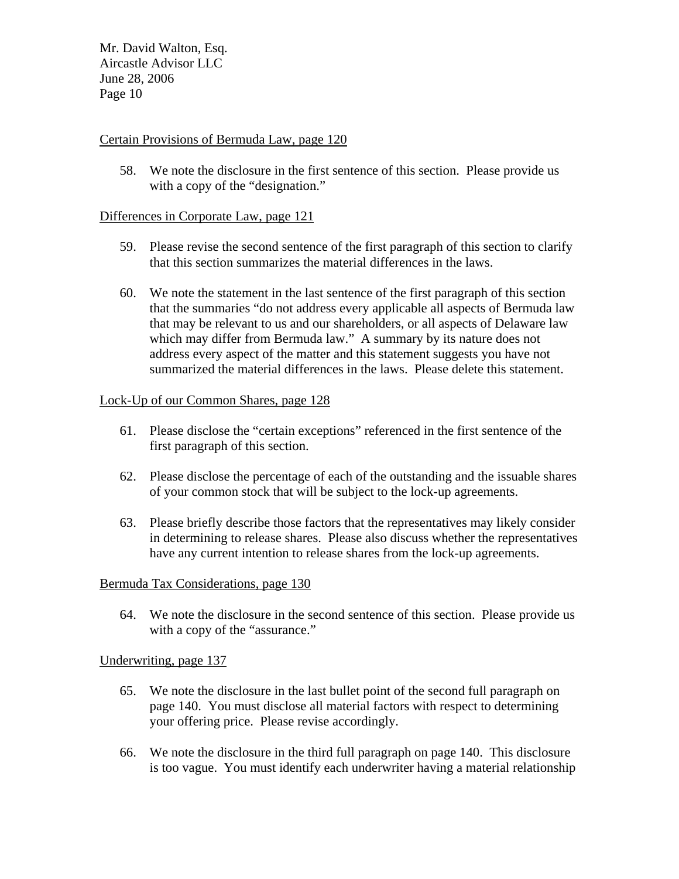## Certain Provisions of Bermuda Law, page 120

58. We note the disclosure in the first sentence of this section. Please provide us with a copy of the "designation."

## Differences in Corporate Law, page 121

- 59. Please revise the second sentence of the first paragraph of this section to clarify that this section summarizes the material differences in the laws.
- 60. We note the statement in the last sentence of the first paragraph of this section that the summaries "do not address every applicable all aspects of Bermuda law that may be relevant to us and our shareholders, or all aspects of Delaware law which may differ from Bermuda law." A summary by its nature does not address every aspect of the matter and this statement suggests you have not summarized the material differences in the laws. Please delete this statement.

## Lock-Up of our Common Shares, page 128

- 61. Please disclose the "certain exceptions" referenced in the first sentence of the first paragraph of this section.
- 62. Please disclose the percentage of each of the outstanding and the issuable shares of your common stock that will be subject to the lock-up agreements.
- 63. Please briefly describe those factors that the representatives may likely consider in determining to release shares. Please also discuss whether the representatives have any current intention to release shares from the lock-up agreements.

#### Bermuda Tax Considerations, page 130

64. We note the disclosure in the second sentence of this section. Please provide us with a copy of the "assurance."

#### Underwriting, page 137

- 65. We note the disclosure in the last bullet point of the second full paragraph on page 140. You must disclose all material factors with respect to determining your offering price. Please revise accordingly.
- 66. We note the disclosure in the third full paragraph on page 140. This disclosure is too vague. You must identify each underwriter having a material relationship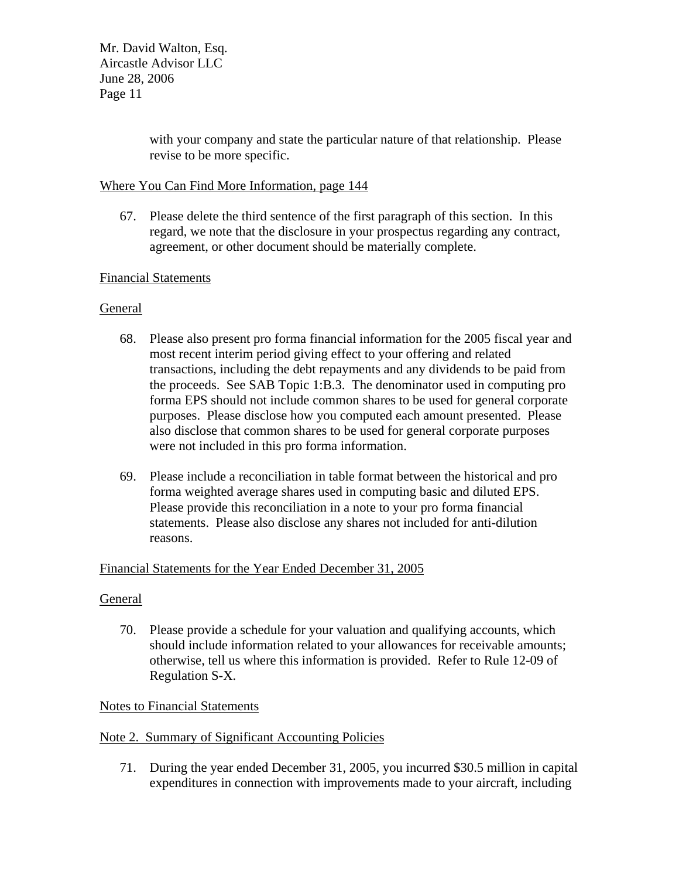> with your company and state the particular nature of that relationship. Please revise to be more specific.

## Where You Can Find More Information, page 144

67. Please delete the third sentence of the first paragraph of this section. In this regard, we note that the disclosure in your prospectus regarding any contract, agreement, or other document should be materially complete.

## Financial Statements

# General

- 68. Please also present pro forma financial information for the 2005 fiscal year and most recent interim period giving effect to your offering and related transactions, including the debt repayments and any dividends to be paid from the proceeds. See SAB Topic 1:B.3. The denominator used in computing pro forma EPS should not include common shares to be used for general corporate purposes. Please disclose how you computed each amount presented. Please also disclose that common shares to be used for general corporate purposes were not included in this pro forma information.
- 69. Please include a reconciliation in table format between the historical and pro forma weighted average shares used in computing basic and diluted EPS. Please provide this reconciliation in a note to your pro forma financial statements. Please also disclose any shares not included for anti-dilution reasons.

## Financial Statements for the Year Ended December 31, 2005

## General

70. Please provide a schedule for your valuation and qualifying accounts, which should include information related to your allowances for receivable amounts; otherwise, tell us where this information is provided. Refer to Rule 12-09 of Regulation S-X.

## Notes to Financial Statements

## Note 2. Summary of Significant Accounting Policies

71. During the year ended December 31, 2005, you incurred \$30.5 million in capital expenditures in connection with improvements made to your aircraft, including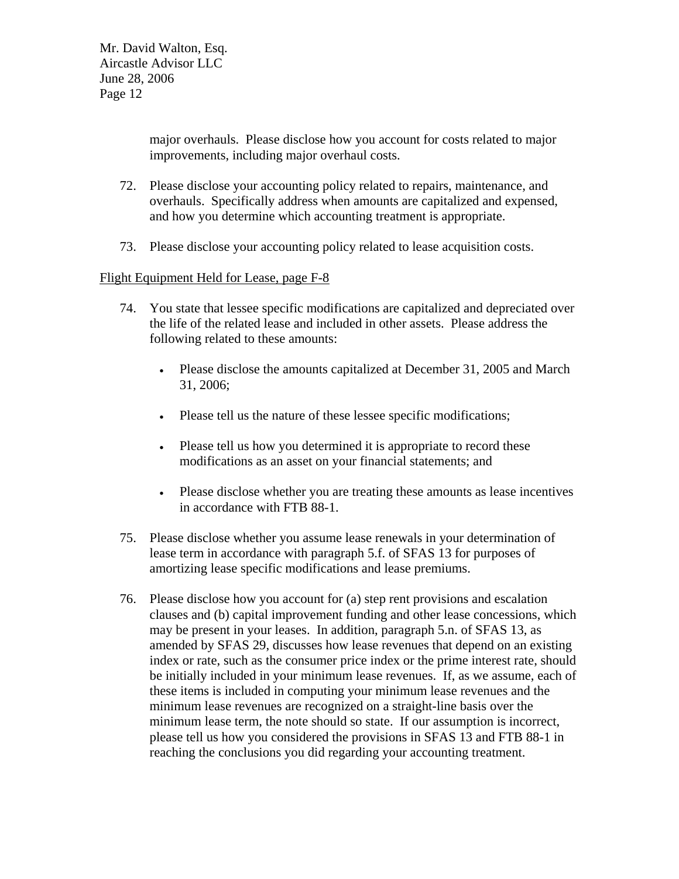major overhauls. Please disclose how you account for costs related to major improvements, including major overhaul costs.

- 72. Please disclose your accounting policy related to repairs, maintenance, and overhauls. Specifically address when amounts are capitalized and expensed, and how you determine which accounting treatment is appropriate.
- 73. Please disclose your accounting policy related to lease acquisition costs.

## Flight Equipment Held for Lease, page F-8

- 74. You state that lessee specific modifications are capitalized and depreciated over the life of the related lease and included in other assets. Please address the following related to these amounts:
	- Please disclose the amounts capitalized at December 31, 2005 and March 31, 2006;
	- Please tell us the nature of these lessee specific modifications;
	- Please tell us how you determined it is appropriate to record these modifications as an asset on your financial statements; and
	- Please disclose whether you are treating these amounts as lease incentives in accordance with FTB 88-1.
- 75. Please disclose whether you assume lease renewals in your determination of lease term in accordance with paragraph 5.f. of SFAS 13 for purposes of amortizing lease specific modifications and lease premiums.
- 76. Please disclose how you account for (a) step rent provisions and escalation clauses and (b) capital improvement funding and other lease concessions, which may be present in your leases. In addition, paragraph 5.n. of SFAS 13, as amended by SFAS 29, discusses how lease revenues that depend on an existing index or rate, such as the consumer price index or the prime interest rate, should be initially included in your minimum lease revenues. If, as we assume, each of these items is included in computing your minimum lease revenues and the minimum lease revenues are recognized on a straight-line basis over the minimum lease term, the note should so state. If our assumption is incorrect, please tell us how you considered the provisions in SFAS 13 and FTB 88-1 in reaching the conclusions you did regarding your accounting treatment.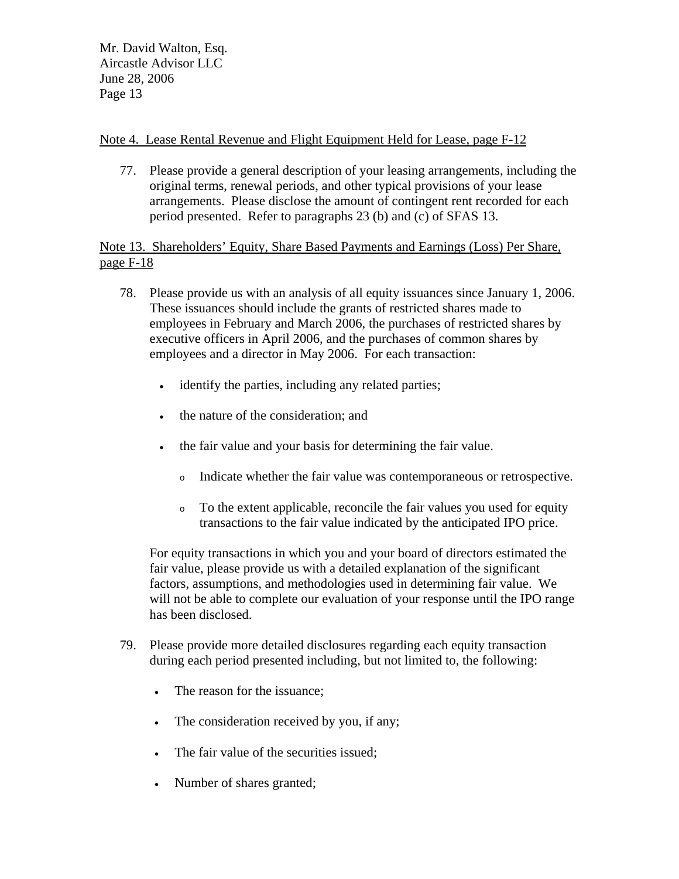# Note 4. Lease Rental Revenue and Flight Equipment Held for Lease, page F-12

77. Please provide a general description of your leasing arrangements, including the original terms, renewal periods, and other typical provisions of your lease arrangements. Please disclose the amount of contingent rent recorded for each period presented. Refer to paragraphs 23 (b) and (c) of SFAS 13.

Note 13. Shareholders' Equity, Share Based Payments and Earnings (Loss) Per Share, page F-18

- 78. Please provide us with an analysis of all equity issuances since January 1, 2006. These issuances should include the grants of restricted shares made to employees in February and March 2006, the purchases of restricted shares by executive officers in April 2006, and the purchases of common shares by employees and a director in May 2006. For each transaction:
	- identify the parties, including any related parties;
	- the nature of the consideration; and
	- the fair value and your basis for determining the fair value.
		- <sup>o</sup> Indicate whether the fair value was contemporaneous or retrospective.
		- <sup>o</sup> To the extent applicable, reconcile the fair values you used for equity transactions to the fair value indicated by the anticipated IPO price.

For equity transactions in which you and your board of directors estimated the fair value, please provide us with a detailed explanation of the significant factors, assumptions, and methodologies used in determining fair value. We will not be able to complete our evaluation of your response until the IPO range has been disclosed.

- 79. Please provide more detailed disclosures regarding each equity transaction during each period presented including, but not limited to, the following:
	- The reason for the issuance;
	- The consideration received by you, if any;
	- The fair value of the securities issued:
	- Number of shares granted;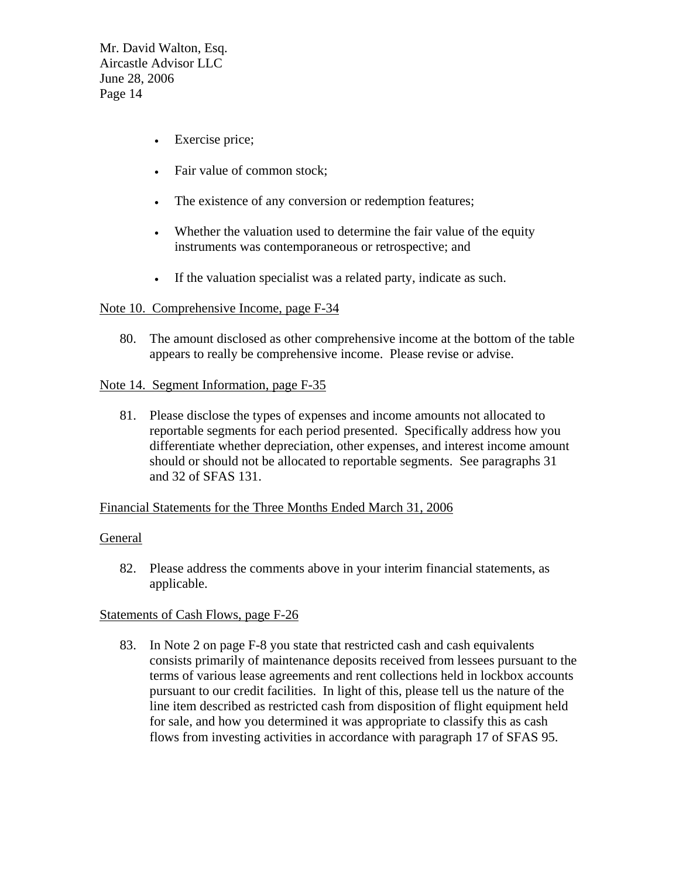- Exercise price;
- Fair value of common stock;
- The existence of any conversion or redemption features;
- Whether the valuation used to determine the fair value of the equity instruments was contemporaneous or retrospective; and
- If the valuation specialist was a related party, indicate as such.

## Note 10. Comprehensive Income, page F-34

80. The amount disclosed as other comprehensive income at the bottom of the table appears to really be comprehensive income. Please revise or advise.

### Note 14. Segment Information, page F-35

81. Please disclose the types of expenses and income amounts not allocated to reportable segments for each period presented. Specifically address how you differentiate whether depreciation, other expenses, and interest income amount should or should not be allocated to reportable segments. See paragraphs 31 and 32 of SFAS 131.

#### Financial Statements for the Three Months Ended March 31, 2006

#### **General**

82. Please address the comments above in your interim financial statements, as applicable.

## Statements of Cash Flows, page F-26

83. In Note 2 on page F-8 you state that restricted cash and cash equivalents consists primarily of maintenance deposits received from lessees pursuant to the terms of various lease agreements and rent collections held in lockbox accounts pursuant to our credit facilities. In light of this, please tell us the nature of the line item described as restricted cash from disposition of flight equipment held for sale, and how you determined it was appropriate to classify this as cash flows from investing activities in accordance with paragraph 17 of SFAS 95.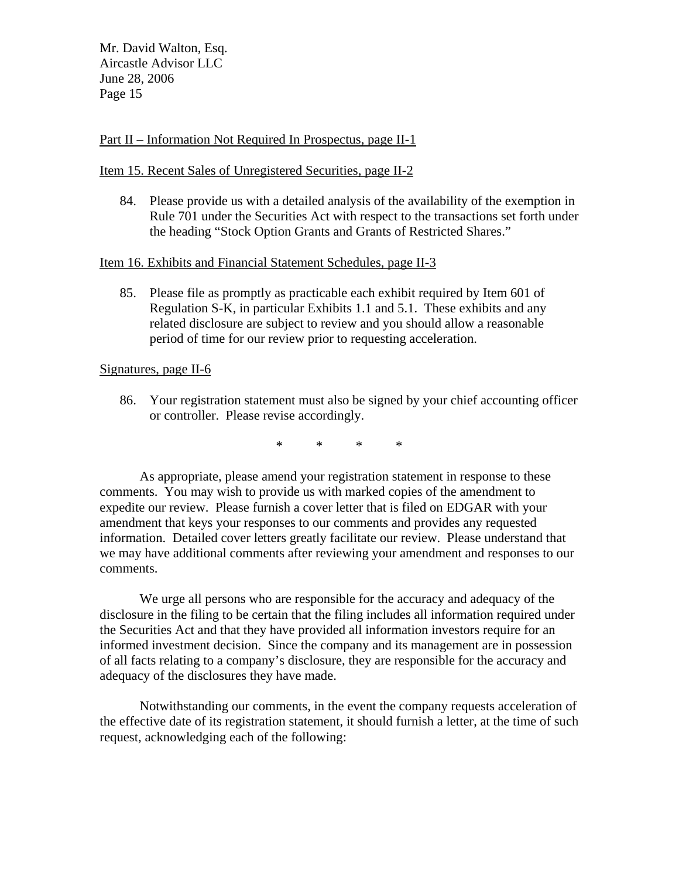### Part II – Information Not Required In Prospectus, page II-1

### Item 15. Recent Sales of Unregistered Securities, page II-2

84. Please provide us with a detailed analysis of the availability of the exemption in Rule 701 under the Securities Act with respect to the transactions set forth under the heading "Stock Option Grants and Grants of Restricted Shares."

### Item 16. Exhibits and Financial Statement Schedules, page II-3

85. Please file as promptly as practicable each exhibit required by Item 601 of Regulation S-K, in particular Exhibits 1.1 and 5.1. These exhibits and any related disclosure are subject to review and you should allow a reasonable period of time for our review prior to requesting acceleration.

### Signatures, page II-6

86. Your registration statement must also be signed by your chief accounting officer or controller. Please revise accordingly.

\* \* \* \*

As appropriate, please amend your registration statement in response to these comments. You may wish to provide us with marked copies of the amendment to expedite our review. Please furnish a cover letter that is filed on EDGAR with your amendment that keys your responses to our comments and provides any requested information. Detailed cover letters greatly facilitate our review. Please understand that we may have additional comments after reviewing your amendment and responses to our comments.

We urge all persons who are responsible for the accuracy and adequacy of the disclosure in the filing to be certain that the filing includes all information required under the Securities Act and that they have provided all information investors require for an informed investment decision. Since the company and its management are in possession of all facts relating to a company's disclosure, they are responsible for the accuracy and adequacy of the disclosures they have made.

Notwithstanding our comments, in the event the company requests acceleration of the effective date of its registration statement, it should furnish a letter, at the time of such request, acknowledging each of the following: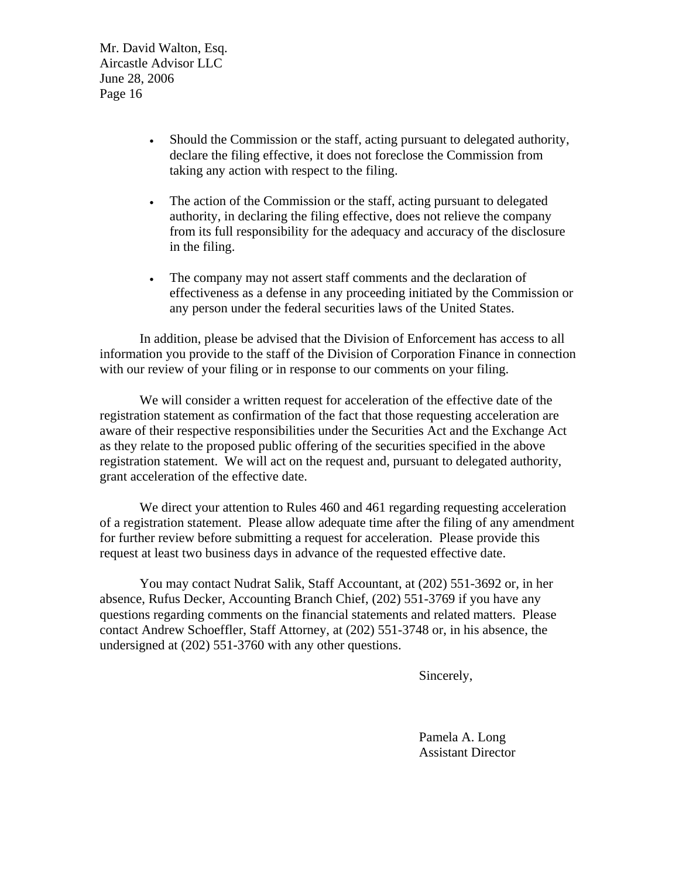- Should the Commission or the staff, acting pursuant to delegated authority, declare the filing effective, it does not foreclose the Commission from taking any action with respect to the filing.
- The action of the Commission or the staff, acting pursuant to delegated authority, in declaring the filing effective, does not relieve the company from its full responsibility for the adequacy and accuracy of the disclosure in the filing.
- The company may not assert staff comments and the declaration of effectiveness as a defense in any proceeding initiated by the Commission or any person under the federal securities laws of the United States.

In addition, please be advised that the Division of Enforcement has access to all information you provide to the staff of the Division of Corporation Finance in connection with our review of your filing or in response to our comments on your filing.

We will consider a written request for acceleration of the effective date of the registration statement as confirmation of the fact that those requesting acceleration are aware of their respective responsibilities under the Securities Act and the Exchange Act as they relate to the proposed public offering of the securities specified in the above registration statement. We will act on the request and, pursuant to delegated authority, grant acceleration of the effective date.

We direct your attention to Rules 460 and 461 regarding requesting acceleration of a registration statement. Please allow adequate time after the filing of any amendment for further review before submitting a request for acceleration. Please provide this request at least two business days in advance of the requested effective date.

You may contact Nudrat Salik, Staff Accountant, at (202) 551-3692 or, in her absence, Rufus Decker, Accounting Branch Chief, (202) 551-3769 if you have any questions regarding comments on the financial statements and related matters. Please contact Andrew Schoeffler, Staff Attorney, at (202) 551-3748 or, in his absence, the undersigned at (202) 551-3760 with any other questions.

Sincerely,

Pamela A. Long Assistant Director